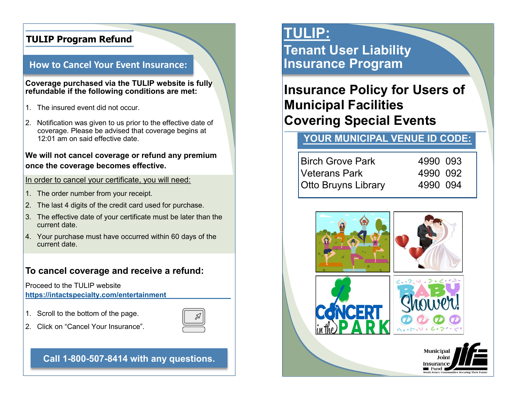## **TULIP Program Refund**

### **How to Cancel Your Event Insurance:**

#### **Coverage purchased via the TULIP website is fully refundable if the following conditions are met:**

- 1. The insured event did not occur.
- 2. Notification was given to us prior to the effective date of coverage. Please be advised that coverage begins at 12:01 am on said effective date.

### **We will not cancel coverage or refund any premium once the coverage becomes effective.**

#### In order to cancel your certificate, you will need:

- 1. The order number from your receipt.
- 2. The last 4 digits of the credit card used for purchase.
- 3. The effective date of your certificate must be later than the current date.
- 4. Your purchase must have occurred within 60 days of the current date.

## **To cancel coverage and receive a refund:**

Proceed to the TULIP website **[https://](https://intactspecialty.com/entertainment)[intactspecialty.com/entertainment](https://intactspecialty.com/entertainment)**

1. Scroll to the bottom of the page.



2. Click on "Cancel Your Insurance".

**Call 1-800-507-8414 with any questions.**

# **TULIP:**

**Tenant User Liability Insurance Program**

# **Insurance Policy for Users of Municipal Facilities Covering Special Events**

# **YOUR MUNICIPAL VENUE ID CODE:**

| <b>Birch Grove Park</b>    | 4990 093 |
|----------------------------|----------|
| Veterans Park              | 4990 092 |
| <b>Otto Bruyns Library</b> | 4990 094 |